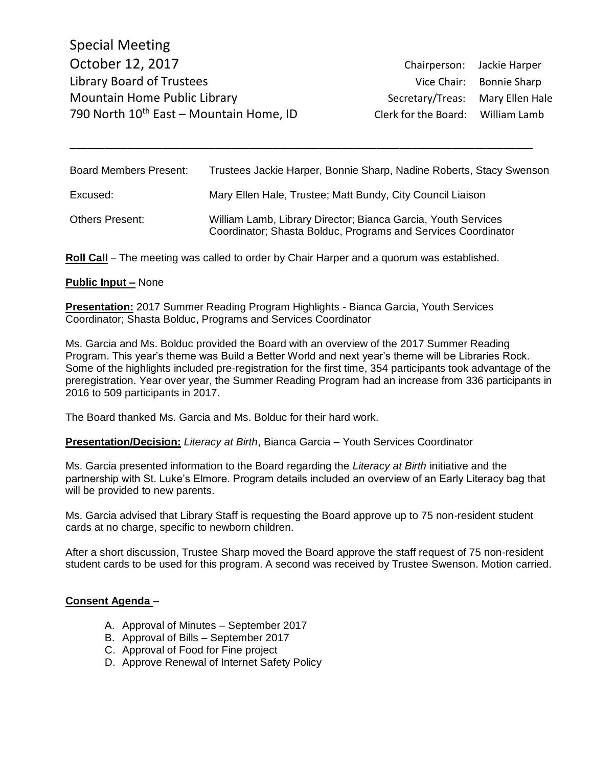Special Meeting October 12, 2017 Chairperson: Jackie Harper Library Board of Trustees Vice Chair: Bonnie Sharp Mountain Home Public Library Network Secretary/Treas: Mary Ellen Hale 790 North  $10^{th}$  East – Mountain Home, ID Clerk for the Board: William Lamb

| <b>Board Members Present:</b> | Trustees Jackie Harper, Bonnie Sharp, Nadine Roberts, Stacy Swenson                                                            |
|-------------------------------|--------------------------------------------------------------------------------------------------------------------------------|
| Excused:                      | Mary Ellen Hale, Trustee; Matt Bundy, City Council Liaison                                                                     |
| <b>Others Present:</b>        | William Lamb, Library Director; Bianca Garcia, Youth Services<br>Coordinator; Shasta Bolduc, Programs and Services Coordinator |

\_\_\_\_\_\_\_\_\_\_\_\_\_\_\_\_\_\_\_\_\_\_\_\_\_\_\_\_\_\_\_\_\_\_\_\_\_\_\_\_\_\_\_\_\_\_\_\_\_\_\_\_\_\_\_\_\_\_\_\_\_\_\_\_\_\_\_\_\_\_\_\_\_\_\_\_\_\_\_\_

**Roll Call** – The meeting was called to order by Chair Harper and a quorum was established.

#### **Public Input –** None

**Presentation:** 2017 Summer Reading Program Highlights - Bianca Garcia, Youth Services Coordinator; Shasta Bolduc, Programs and Services Coordinator

Ms. Garcia and Ms. Bolduc provided the Board with an overview of the 2017 Summer Reading Program. This year's theme was Build a Better World and next year's theme will be Libraries Rock. Some of the highlights included pre-registration for the first time, 354 participants took advantage of the preregistration. Year over year, the Summer Reading Program had an increase from 336 participants in 2016 to 509 participants in 2017.

The Board thanked Ms. Garcia and Ms. Bolduc for their hard work.

**Presentation/Decision:** *Literacy at Birth*, Bianca Garcia – Youth Services Coordinator

Ms. Garcia presented information to the Board regarding the *Literacy at Birth* initiative and the partnership with St. Luke's Elmore. Program details included an overview of an Early Literacy bag that will be provided to new parents.

Ms. Garcia advised that Library Staff is requesting the Board approve up to 75 non-resident student cards at no charge, specific to newborn children.

After a short discussion, Trustee Sharp moved the Board approve the staff request of 75 non-resident student cards to be used for this program. A second was received by Trustee Swenson. Motion carried.

#### **Consent Agenda** –

- A. Approval of Minutes September 2017
- B. Approval of Bills September 2017
- C. Approval of Food for Fine project
- D. Approve Renewal of Internet Safety Policy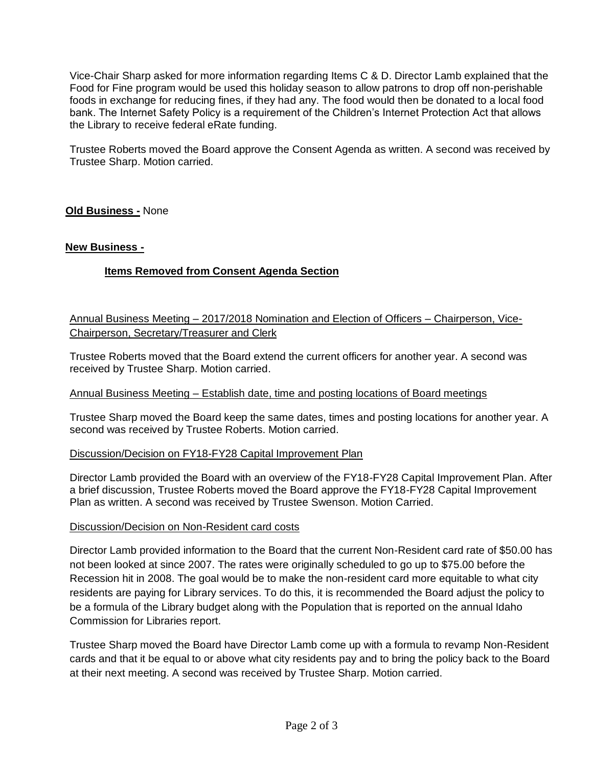Vice-Chair Sharp asked for more information regarding Items C & D. Director Lamb explained that the Food for Fine program would be used this holiday season to allow patrons to drop off non-perishable foods in exchange for reducing fines, if they had any. The food would then be donated to a local food bank. The Internet Safety Policy is a requirement of the Children's Internet Protection Act that allows the Library to receive federal eRate funding.

Trustee Roberts moved the Board approve the Consent Agenda as written. A second was received by Trustee Sharp. Motion carried.

# **Old Business -** None

## **New Business -**

# **Items Removed from Consent Agenda Section**

# Annual Business Meeting – 2017/2018 Nomination and Election of Officers – Chairperson, Vice-Chairperson, Secretary/Treasurer and Clerk

Trustee Roberts moved that the Board extend the current officers for another year. A second was received by Trustee Sharp. Motion carried.

#### Annual Business Meeting – Establish date, time and posting locations of Board meetings

Trustee Sharp moved the Board keep the same dates, times and posting locations for another year. A second was received by Trustee Roberts. Motion carried.

#### Discussion/Decision on FY18-FY28 Capital Improvement Plan

Director Lamb provided the Board with an overview of the FY18-FY28 Capital Improvement Plan. After a brief discussion, Trustee Roberts moved the Board approve the FY18-FY28 Capital Improvement Plan as written. A second was received by Trustee Swenson. Motion Carried.

#### Discussion/Decision on Non-Resident card costs

Director Lamb provided information to the Board that the current Non-Resident card rate of \$50.00 has not been looked at since 2007. The rates were originally scheduled to go up to \$75.00 before the Recession hit in 2008. The goal would be to make the non-resident card more equitable to what city residents are paying for Library services. To do this, it is recommended the Board adjust the policy to be a formula of the Library budget along with the Population that is reported on the annual Idaho Commission for Libraries report.

Trustee Sharp moved the Board have Director Lamb come up with a formula to revamp Non-Resident cards and that it be equal to or above what city residents pay and to bring the policy back to the Board at their next meeting. A second was received by Trustee Sharp. Motion carried.